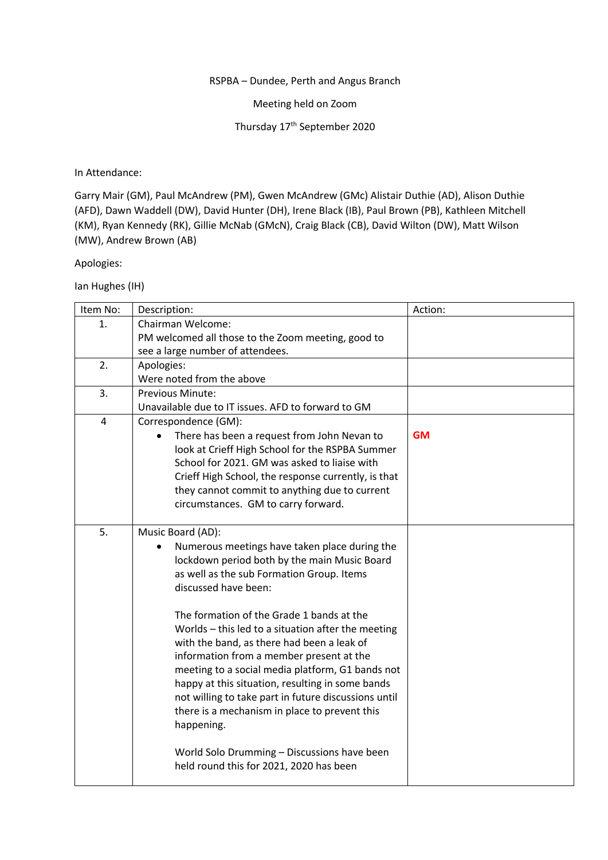## RSPBA – Dundee, Perth and Angus Branch

Meeting held on Zoom

Thursday 17<sup>th</sup> September 2020

## In Attendance:

Garry Mair (GM), Paul McAndrew (PM), Gwen McAndrew (GMc) Alistair Duthie (AD), Alison Duthie (AFD), Dawn Waddell (DW), David Hunter (DH), Irene Black (IB), Paul Brown (PB), Kathleen Mitchell (KM), Ryan Kennedy (RK), Gillie McNab (GMcN), Craig Black (CB), David Wilton (DW), Matt Wilson (MW), Andrew Brown (AB)

## Apologies:

Ian Hughes (IH)

| Item No: | Description:                                         | Action:   |
|----------|------------------------------------------------------|-----------|
| 1.       | Chairman Welcome:                                    |           |
|          | PM welcomed all those to the Zoom meeting, good to   |           |
|          | see a large number of attendees.                     |           |
| 2.       | Apologies:                                           |           |
|          | Were noted from the above                            |           |
| 3.       | Previous Minute:                                     |           |
|          | Unavailable due to IT issues. AFD to forward to GM   |           |
| 4        | Correspondence (GM):                                 |           |
|          | There has been a request from John Nevan to          | <b>GM</b> |
|          | look at Crieff High School for the RSPBA Summer      |           |
|          | School for 2021. GM was asked to liaise with         |           |
|          | Crieff High School, the response currently, is that  |           |
|          | they cannot commit to anything due to current        |           |
|          | circumstances. GM to carry forward.                  |           |
|          |                                                      |           |
| 5.       | Music Board (AD):                                    |           |
|          | Numerous meetings have taken place during the        |           |
|          | lockdown period both by the main Music Board         |           |
|          | as well as the sub Formation Group. Items            |           |
|          | discussed have been:                                 |           |
|          |                                                      |           |
|          | The formation of the Grade 1 bands at the            |           |
|          | Worlds - this led to a situation after the meeting   |           |
|          | with the band, as there had been a leak of           |           |
|          | information from a member present at the             |           |
|          | meeting to a social media platform, G1 bands not     |           |
|          | happy at this situation, resulting in some bands     |           |
|          | not willing to take part in future discussions until |           |
|          | there is a mechanism in place to prevent this        |           |
|          | happening.                                           |           |
|          | World Solo Drumming - Discussions have been          |           |
|          | held round this for 2021, 2020 has been              |           |
|          |                                                      |           |
|          |                                                      |           |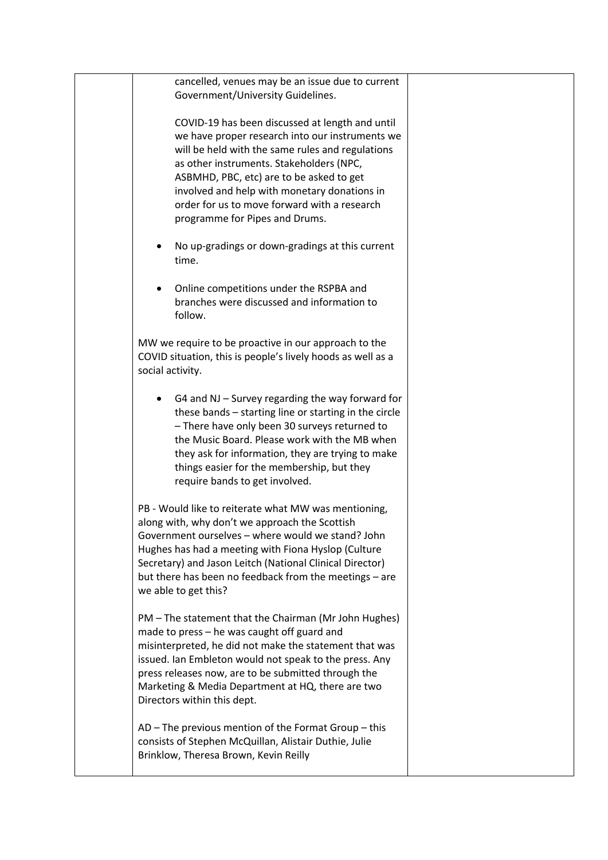| cancelled, venues may be an issue due to current<br>Government/University Guidelines.                                                                                                                                                                                                                                                                                            |  |
|----------------------------------------------------------------------------------------------------------------------------------------------------------------------------------------------------------------------------------------------------------------------------------------------------------------------------------------------------------------------------------|--|
| COVID-19 has been discussed at length and until<br>we have proper research into our instruments we<br>will be held with the same rules and regulations<br>as other instruments. Stakeholders (NPC,<br>ASBMHD, PBC, etc) are to be asked to get<br>involved and help with monetary donations in<br>order for us to move forward with a research<br>programme for Pipes and Drums. |  |
| No up-gradings or down-gradings at this current<br>time.                                                                                                                                                                                                                                                                                                                         |  |
| Online competitions under the RSPBA and<br>branches were discussed and information to<br>follow.                                                                                                                                                                                                                                                                                 |  |
| MW we require to be proactive in our approach to the<br>COVID situation, this is people's lively hoods as well as a<br>social activity.                                                                                                                                                                                                                                          |  |
| G4 and NJ – Survey regarding the way forward for<br>these bands - starting line or starting in the circle<br>- There have only been 30 surveys returned to<br>the Music Board. Please work with the MB when<br>they ask for information, they are trying to make<br>things easier for the membership, but they<br>require bands to get involved.                                 |  |
| PB - Would like to reiterate what MW was mentioning,<br>along with, why don't we approach the Scottish<br>Government ourselves - where would we stand? John<br>Hughes has had a meeting with Fiona Hyslop (Culture<br>Secretary) and Jason Leitch (National Clinical Director)<br>but there has been no feedback from the meetings - are<br>we able to get this?                 |  |
| PM - The statement that the Chairman (Mr John Hughes)<br>made to press - he was caught off guard and<br>misinterpreted, he did not make the statement that was<br>issued. Ian Embleton would not speak to the press. Any<br>press releases now, are to be submitted through the<br>Marketing & Media Department at HQ, there are two<br>Directors within this dept.              |  |
| AD – The previous mention of the Format Group – this<br>consists of Stephen McQuillan, Alistair Duthie, Julie<br>Brinklow, Theresa Brown, Kevin Reilly                                                                                                                                                                                                                           |  |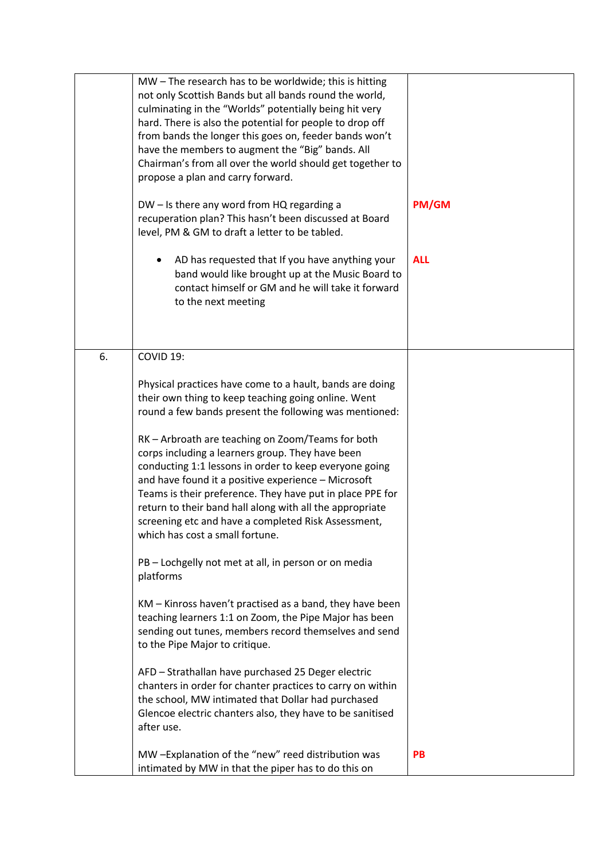|    | MW - The research has to be worldwide; this is hitting<br>not only Scottish Bands but all bands round the world,<br>culminating in the "Worlds" potentially being hit very<br>hard. There is also the potential for people to drop off<br>from bands the longer this goes on, feeder bands won't<br>have the members to augment the "Big" bands. All<br>Chairman's from all over the world should get together to<br>propose a plan and carry forward.<br>DW - Is there any word from HQ regarding a<br>recuperation plan? This hasn't been discussed at Board<br>level, PM & GM to draft a letter to be tabled.<br>AD has requested that If you have anything your<br>band would like brought up at the Music Board to<br>contact himself or GM and he will take it forward<br>to the next meeting | PM/GM<br><b>ALL</b> |
|----|-----------------------------------------------------------------------------------------------------------------------------------------------------------------------------------------------------------------------------------------------------------------------------------------------------------------------------------------------------------------------------------------------------------------------------------------------------------------------------------------------------------------------------------------------------------------------------------------------------------------------------------------------------------------------------------------------------------------------------------------------------------------------------------------------------|---------------------|
| 6. | COVID 19:                                                                                                                                                                                                                                                                                                                                                                                                                                                                                                                                                                                                                                                                                                                                                                                           |                     |
|    | Physical practices have come to a hault, bands are doing<br>their own thing to keep teaching going online. Went<br>round a few bands present the following was mentioned:                                                                                                                                                                                                                                                                                                                                                                                                                                                                                                                                                                                                                           |                     |
|    | RK - Arbroath are teaching on Zoom/Teams for both<br>corps including a learners group. They have been<br>conducting 1:1 lessons in order to keep everyone going<br>and have found it a positive experience - Microsoft<br>Teams is their preference. They have put in place PPE for<br>return to their band hall along with all the appropriate<br>screening etc and have a completed Risk Assessment,<br>which has cost a small fortune.                                                                                                                                                                                                                                                                                                                                                           |                     |
|    | PB - Lochgelly not met at all, in person or on media<br>platforms                                                                                                                                                                                                                                                                                                                                                                                                                                                                                                                                                                                                                                                                                                                                   |                     |
|    | KM - Kinross haven't practised as a band, they have been<br>teaching learners 1:1 on Zoom, the Pipe Major has been<br>sending out tunes, members record themselves and send<br>to the Pipe Major to critique.                                                                                                                                                                                                                                                                                                                                                                                                                                                                                                                                                                                       |                     |
|    | AFD - Strathallan have purchased 25 Deger electric<br>chanters in order for chanter practices to carry on within<br>the school, MW intimated that Dollar had purchased<br>Glencoe electric chanters also, they have to be sanitised<br>after use.                                                                                                                                                                                                                                                                                                                                                                                                                                                                                                                                                   |                     |
|    | MW -Explanation of the "new" reed distribution was<br>intimated by MW in that the piper has to do this on                                                                                                                                                                                                                                                                                                                                                                                                                                                                                                                                                                                                                                                                                           | <b>PB</b>           |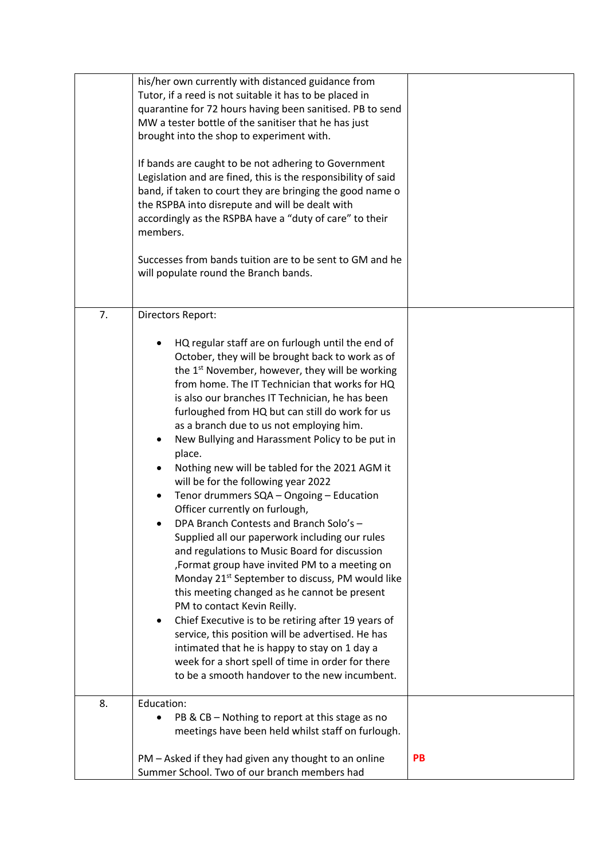|    | his/her own currently with distanced guidance from<br>Tutor, if a reed is not suitable it has to be placed in<br>quarantine for 72 hours having been sanitised. PB to send<br>MW a tester bottle of the sanitiser that he has just<br>brought into the shop to experiment with.<br>If bands are caught to be not adhering to Government<br>Legislation and are fined, this is the responsibility of said<br>band, if taken to court they are bringing the good name o<br>the RSPBA into disrepute and will be dealt with<br>accordingly as the RSPBA have a "duty of care" to their<br>members.<br>Successes from bands tuition are to be sent to GM and he<br>will populate round the Branch bands.                                                                                                                                                                                                                                                                                                                                                                                                                                                                                                                                                         |    |
|----|--------------------------------------------------------------------------------------------------------------------------------------------------------------------------------------------------------------------------------------------------------------------------------------------------------------------------------------------------------------------------------------------------------------------------------------------------------------------------------------------------------------------------------------------------------------------------------------------------------------------------------------------------------------------------------------------------------------------------------------------------------------------------------------------------------------------------------------------------------------------------------------------------------------------------------------------------------------------------------------------------------------------------------------------------------------------------------------------------------------------------------------------------------------------------------------------------------------------------------------------------------------|----|
| 7. | Directors Report:<br>HQ regular staff are on furlough until the end of<br>October, they will be brought back to work as of<br>the 1 <sup>st</sup> November, however, they will be working<br>from home. The IT Technician that works for HQ<br>is also our branches IT Technician, he has been<br>furloughed from HQ but can still do work for us<br>as a branch due to us not employing him.<br>New Bullying and Harassment Policy to be put in<br>٠<br>place.<br>Nothing new will be tabled for the 2021 AGM it<br>will be for the following year 2022<br>Tenor drummers SQA - Ongoing - Education<br>Officer currently on furlough,<br>DPA Branch Contests and Branch Solo's -<br>Supplied all our paperwork including our rules<br>and regulations to Music Board for discussion<br>, Format group have invited PM to a meeting on<br>Monday 21 <sup>st</sup> September to discuss, PM would like<br>this meeting changed as he cannot be present<br>PM to contact Kevin Reilly.<br>Chief Executive is to be retiring after 19 years of<br>٠<br>service, this position will be advertised. He has<br>intimated that he is happy to stay on 1 day a<br>week for a short spell of time in order for there<br>to be a smooth handover to the new incumbent. |    |
| 8. | Education:<br>PB & CB – Nothing to report at this stage as no<br>meetings have been held whilst staff on furlough.<br>PM - Asked if they had given any thought to an online<br>Summer School. Two of our branch members had                                                                                                                                                                                                                                                                                                                                                                                                                                                                                                                                                                                                                                                                                                                                                                                                                                                                                                                                                                                                                                  | PB |
|    |                                                                                                                                                                                                                                                                                                                                                                                                                                                                                                                                                                                                                                                                                                                                                                                                                                                                                                                                                                                                                                                                                                                                                                                                                                                              |    |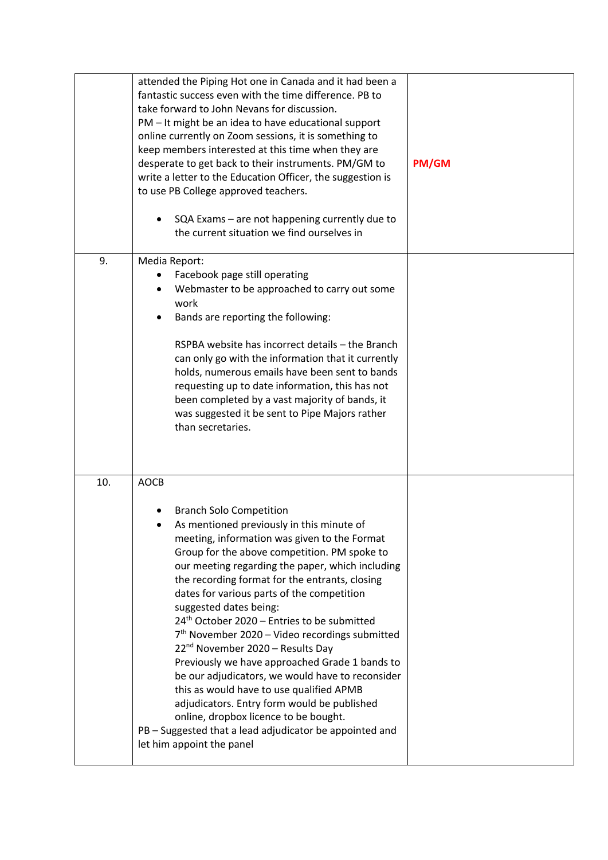|     | attended the Piping Hot one in Canada and it had been a<br>fantastic success even with the time difference. PB to<br>take forward to John Nevans for discussion.<br>PM - It might be an idea to have educational support<br>online currently on Zoom sessions, it is something to<br>keep members interested at this time when they are<br>desperate to get back to their instruments. PM/GM to<br>write a letter to the Education Officer, the suggestion is<br>to use PB College approved teachers.<br>SQA Exams - are not happening currently due to<br>the current situation we find ourselves in                                                                                                                                                                                                                                                                     | <b>PM/GM</b> |
|-----|---------------------------------------------------------------------------------------------------------------------------------------------------------------------------------------------------------------------------------------------------------------------------------------------------------------------------------------------------------------------------------------------------------------------------------------------------------------------------------------------------------------------------------------------------------------------------------------------------------------------------------------------------------------------------------------------------------------------------------------------------------------------------------------------------------------------------------------------------------------------------|--------------|
| 9.  | Media Report:<br>Facebook page still operating<br>Webmaster to be approached to carry out some<br>work<br>Bands are reporting the following:<br>RSPBA website has incorrect details - the Branch<br>can only go with the information that it currently<br>holds, numerous emails have been sent to bands<br>requesting up to date information, this has not<br>been completed by a vast majority of bands, it<br>was suggested it be sent to Pipe Majors rather<br>than secretaries.                                                                                                                                                                                                                                                                                                                                                                                      |              |
| 10. | <b>AOCB</b><br><b>Branch Solo Competition</b><br>As mentioned previously in this minute of<br>meeting, information was given to the Format<br>Group for the above competition. PM spoke to<br>our meeting regarding the paper, which including<br>the recording format for the entrants, closing<br>dates for various parts of the competition<br>suggested dates being:<br>24 <sup>th</sup> October 2020 - Entries to be submitted<br>$7th$ November 2020 – Video recordings submitted<br>22 <sup>nd</sup> November 2020 - Results Day<br>Previously we have approached Grade 1 bands to<br>be our adjudicators, we would have to reconsider<br>this as would have to use qualified APMB<br>adjudicators. Entry form would be published<br>online, dropbox licence to be bought.<br>PB - Suggested that a lead adjudicator be appointed and<br>let him appoint the panel |              |